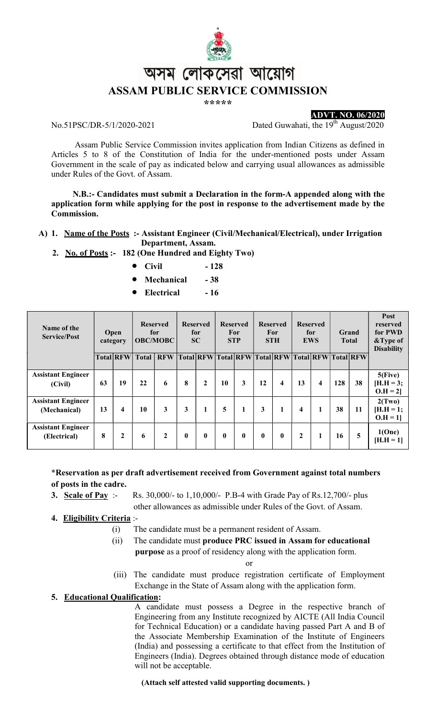

\*\*\*\*\*

#### No.51PSC/DR-5/1/2020-2021 Dated Guwahati, the 19<sup>th</sup> August/2020

ADVT. NO. 06/2020

 Assam Public Service Commission invites application from Indian Citizens as defined in Articles 5 to 8 of the Constitution of India for the under-mentioned posts under Assam Government in the scale of pay as indicated below and carrying usual allowances as admissible under Rules of the Govt. of Assam.

 N.B.:- Candidates must submit a Declaration in the form-A appended along with the application form while applying for the post in response to the advertisement made by the Commission.

- A) 1. Name of the Posts :- Assistant Engineer (Civil/Mechanical/Electrical), under Irrigation Department, Assam.
	- 2. No. of Posts :- 182 (One Hundred and Eighty Two)
		- $\bullet$  Civil  $-128$
		- Mechanical 38
		- Electrical 16

| Name of the<br><b>Service/Post</b>        | <b>Open</b><br>category |                  | <b>Reserved</b><br>for<br><b>OBC/MOBC</b> |              | <b>Reserved</b><br>for<br><b>SC</b> |                  | <b>Reserved</b><br>For<br><b>STP</b> |                     | <b>Reserved</b><br>For<br><b>STH</b> |                         | <b>Reserved</b><br>for<br><b>EWS</b> |           | Grand<br><b>Total</b> |           | Post<br>reserved<br>for PWD<br>&Type of<br><b>Disability</b> |
|-------------------------------------------|-------------------------|------------------|-------------------------------------------|--------------|-------------------------------------|------------------|--------------------------------------|---------------------|--------------------------------------|-------------------------|--------------------------------------|-----------|-----------------------|-----------|--------------------------------------------------------------|
|                                           |                         | <b>Total RFW</b> | <b>Total</b>                              | <b>RFW</b>   |                                     | <b>Total RFW</b> |                                      | Total RFW Total RFW |                                      |                         |                                      | Total RFW |                       | Total RFW |                                                              |
| <b>Assistant Engineer</b><br>(Civil)      | 63                      | 19               | 22                                        | 6            | 8                                   | $\mathbf{2}$     | 10                                   | 3                   | 12                                   | $\overline{\mathbf{4}}$ | 13                                   | 4         | 128                   | 38        | $5$ (Five)<br>$[H.H = 3;$<br>$O.H = 2$                       |
| <b>Assistant Engineer</b><br>(Mechanical) | 13                      | 4                | 10                                        | 3            | 3                                   | 1                | 5                                    | 1                   | 3                                    | 1                       | $\overline{\mathbf{4}}$              | 1         | 38                    | 11        | 2(Tw0)<br>$[H.H = 1;$<br>$O.H = 1$                           |
| <b>Assistant Engineer</b><br>(Electrical) | 8                       | $\mathbf{2}$     | 6                                         | $\mathbf{2}$ | $\mathbf{0}$                        | 0                | $\mathbf{0}$                         | $\bf{0}$            | $\mathbf{0}$                         | $\bf{0}$                | $\mathbf{2}$                         | 1         | 16                    | 5         | 1(One)<br>$[H.H = 1]$                                        |

\*Reservation as per draft advertisement received from Government against total numbers of posts in the cadre.

3. Scale of Pay :- Rs. 30,000/- to 1,10,000/- P.B-4 with Grade Pay of Rs.12,700/- plus

other allowances as admissible under Rules of the Govt. of Assam.

4. Eligibility Criteria :-

- (i) The candidate must be a permanent resident of Assam.
- (ii) The candidate must produce PRC issued in Assam for educational purpose as a proof of residency along with the application form.

or

(iii) The candidate must produce registration certificate of Employment Exchange in the State of Assam along with the application form.

### 5. Educational Qualification:

A candidate must possess a Degree in the respective branch of Engineering from any Institute recognized by AICTE (All India Council for Technical Education) or a candidate having passed Part A and B of the Associate Membership Examination of the Institute of Engineers (India) and possessing a certificate to that effect from the Institution of Engineers (India). Degrees obtained through distance mode of education will not be acceptable.

(Attach self attested valid supporting documents. )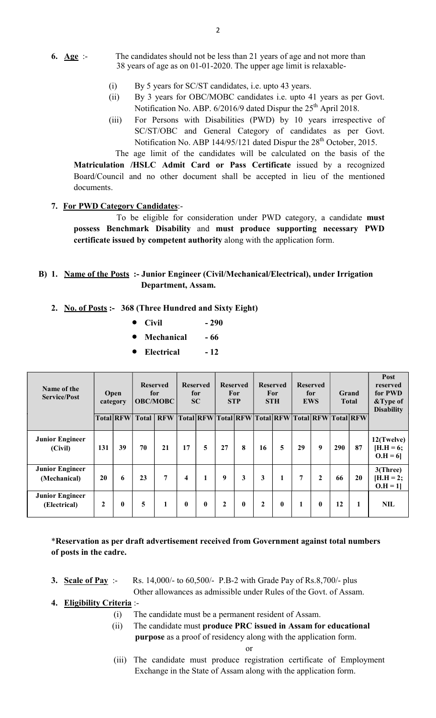- 6.  $\Delta \text{ge}$  :- The candidates should not be less than 21 years of age and not more than 38 years of age as on 01-01-2020. The upper age limit is relaxable-
	- (i) By 5 years for SC/ST candidates, i.e. upto 43 years.
	- (ii) By 3 years for OBC/MOBC candidates i.e. upto 41 years as per Govt. Notification No. ABP. 6/2016/9 dated Dispur the 25<sup>th</sup> April 2018.
	- (iii) For Persons with Disabilities (PWD) by 10 years irrespective of SC/ST/OBC and General Category of candidates as per Govt. Notification No. ABP 144/95/121 dated Dispur the 28<sup>th</sup> October, 2015.

 The age limit of the candidates will be calculated on the basis of the Matriculation /HSLC Admit Card or Pass Certificate issued by a recognized Board/Council and no other document shall be accepted in lieu of the mentioned documents.

### 7. For PWD Category Candidates:-

 To be eligible for consideration under PWD category, a candidate must possess Benchmark Disability and must produce supporting necessary PWD certificate issued by competent authority along with the application form.

### B) 1. Name of the Posts :- Junior Engineer (Civil/Mechanical/Electrical), under Irrigation Department, Assam.

#### 2. No. of Posts :- 368 (Three Hundred and Sixty Eight)

- $\bullet$  Civil  $-290$
- Mechanical 66
- Electrical 12

| Name of the<br><b>Service/Post</b>     |     | Open<br>category | <b>Reserved</b><br>for<br><b>OBC/MOBC</b> |                | <b>Reserved</b><br>for<br><b>SC</b> |                                                   | <b>Reserved</b><br>For<br><b>STP</b> |              | <b>Reserved</b><br>For<br><b>STH</b> |          | <b>Reserved</b><br>for<br><b>EWS</b> |              | <b>Grand</b><br><b>Total</b> |    | <b>Post</b><br>reserved<br>for PWD<br>&Type of<br><b>Disability</b> |
|----------------------------------------|-----|------------------|-------------------------------------------|----------------|-------------------------------------|---------------------------------------------------|--------------------------------------|--------------|--------------------------------------|----------|--------------------------------------|--------------|------------------------------|----|---------------------------------------------------------------------|
|                                        |     | <b>Total RFW</b> | <b>Total</b>                              | <b>RFW</b>     |                                     | Total RFW Total RFW Total RFW Total RFW Total RFW |                                      |              |                                      |          |                                      |              |                              |    |                                                                     |
| <b>Junior Engineer</b><br>(Civil)      | 131 | 39               | 70                                        | 21             | 17                                  | 5                                                 | 27                                   | 8            | 16                                   | 5        | 29                                   | 9            | 290                          | 87 | 12(Twelve)<br>$H.H = 6;$<br>$O.H = 6$                               |
| <b>Junior Engineer</b><br>(Mechanical) | 20  | 6                | 23                                        | $\overline{7}$ | 4                                   | 1                                                 | 9                                    | 3            | 3                                    | 1        | $\overline{7}$                       | $\mathbf{2}$ | 66                           | 20 | 3(Three)<br>$[H.H = 2;$<br>$O.H = 11$                               |
| <b>Junior Engineer</b><br>(Electrical) | 2   | $\bf{0}$         | 5                                         | $\mathbf{1}$   | $\mathbf{0}$                        | $\mathbf{0}$                                      | $\overline{2}$                       | $\mathbf{0}$ | $\mathbf{2}$                         | $\bf{0}$ | 1                                    | $\mathbf{0}$ | 12                           | 1  | <b>NIL</b>                                                          |

\*Reservation as per draft advertisement received from Government against total numbers of posts in the cadre.

3. Scale of Pay :- Rs. 14,000/- to 60,500/- P.B-2 with Grade Pay of Rs.8,700/- plus

Other allowances as admissible under Rules of the Govt. of Assam.

- 4. Eligibility Criteria :-
	- (i) The candidate must be a permanent resident of Assam.
	- (ii) The candidate must produce PRC issued in Assam for educational purpose as a proof of residency along with the application form.

- or
- (iii) The candidate must produce registration certificate of Employment Exchange in the State of Assam along with the application form.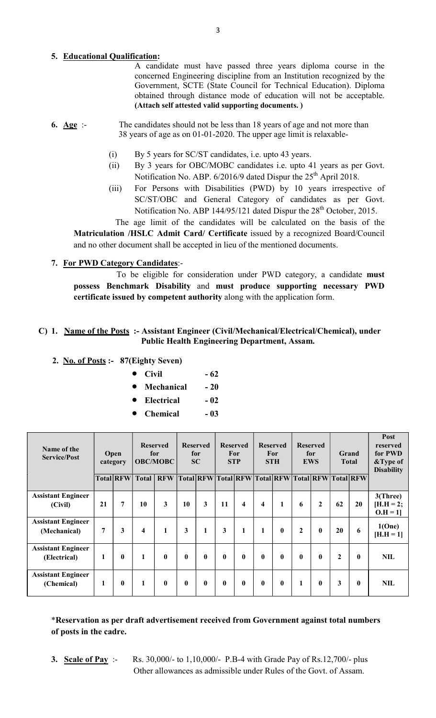# 5. Educational Qualification:

A candidate must have passed three years diploma course in the concerned Engineering discipline from an Institution recognized by the Government, SCTE (State Council for Technical Education). Diploma obtained through distance mode of education will not be acceptable. (Attach self attested valid supporting documents. )

- 6. Age :- The candidates should not be less than 18 years of age and not more than 38 years of age as on 01-01-2020. The upper age limit is relaxable-
	- (i) By 5 years for SC/ST candidates, i.e. upto 43 years.
	- (ii) By 3 years for OBC/MOBC candidates i.e. upto 41 years as per Govt. Notification No. ABP. 6/2016/9 dated Dispur the 25<sup>th</sup> April 2018.
	- (iii) For Persons with Disabilities (PWD) by 10 years irrespective of SC/ST/OBC and General Category of candidates as per Govt. Notification No. ABP 144/95/121 dated Dispur the 28<sup>th</sup> October, 2015.

 The age limit of the candidates will be calculated on the basis of the Matriculation /HSLC Admit Card/ Certificate issued by a recognized Board/Council and no other document shall be accepted in lieu of the mentioned documents.

# 7. For PWD Category Candidates:-

 To be eligible for consideration under PWD category, a candidate must possess Benchmark Disability and must produce supporting necessary PWD certificate issued by competent authority along with the application form.

### C) 1. Name of the Posts :- Assistant Engineer (Civil/Mechanical/Electrical/Chemical), under Public Health Engineering Department, Assam.

- 2. No. of Posts :- 87(Eighty Seven)
	- Civil  $-62$
	- Mechanical 20
	- Electrical 02
	- $\bullet$  Chemical  $-03$

| Name of the<br><b>Service/Post</b>        | Open<br>category |                | <b>Reserved</b><br>for<br><b>OBC/MOBC</b> |              | <b>Reserved</b><br>for<br><b>SC</b> |                  | <b>Reserved</b><br>For<br><b>STP</b> |                         | <b>Reserved</b><br><b>For</b><br><b>STH</b> |              | <b>Reserved</b><br>for<br><b>EWS</b> |              | Grand<br><b>Total</b> |              | Post<br>reserved<br>for PWD<br>&Type of<br><b>Disability</b> |
|-------------------------------------------|------------------|----------------|-------------------------------------------|--------------|-------------------------------------|------------------|--------------------------------------|-------------------------|---------------------------------------------|--------------|--------------------------------------|--------------|-----------------------|--------------|--------------------------------------------------------------|
|                                           |                  | Total RFW      | <b>Total</b>                              | <b>RFW</b>   |                                     | <b>Total RFW</b> |                                      | Total RFW               |                                             | Total RFW    |                                      | Total RFW    |                       | Total RFW    |                                                              |
| <b>Assistant Engineer</b><br>(Civil)      | 21               | $\overline{7}$ | 10                                        | 3            | 10                                  | 3                | 11                                   | $\overline{\mathbf{4}}$ | $\overline{\mathbf{4}}$                     | 1            | 6                                    | $\mathbf{2}$ | 62                    | 20           | 3(Three)<br>$[H.H = 2;$<br>$O.H = 1$                         |
| <b>Assistant Engineer</b><br>(Mechanical) | 7                | 3              | $\overline{\mathbf{4}}$                   | $\mathbf{1}$ | 3                                   | 1                | $\mathbf{3}$                         | $\mathbf{1}$            | $\mathbf{1}$                                | $\bf{0}$     | $\mathbf{2}$                         | $\mathbf{0}$ | 20                    | 6            | 1(One)<br>$[H.H = 1]$                                        |
| <b>Assistant Engineer</b><br>(Electrical) | 1                | $\mathbf{0}$   |                                           | $\bf{0}$     | $\mathbf{0}$                        | $\bf{0}$         | $\mathbf{0}$                         | $\mathbf{0}$            | $\bf{0}$                                    | $\bf{0}$     | $\mathbf{0}$                         | $\mathbf{0}$ | 2                     | $\mathbf{0}$ | <b>NIL</b>                                                   |
| <b>Assistant Engineer</b><br>(Chemical)   | 1                | $\mathbf{0}$   | 1                                         | $\mathbf{0}$ | $\mathbf{0}$                        | 0                | $\mathbf{0}$                         | $\mathbf{0}$            | $\mathbf{0}$                                | $\mathbf{0}$ | 1                                    | $\mathbf{0}$ | 3                     | $\mathbf{0}$ | <b>NIL</b>                                                   |

\*Reservation as per draft advertisement received from Government against total numbers of posts in the cadre.

3. Scale of Pay :- Rs. 30,000/- to 1,10,000/- P.B-4 with Grade Pay of Rs.12,700/- plus Other allowances as admissible under Rules of the Govt. of Assam.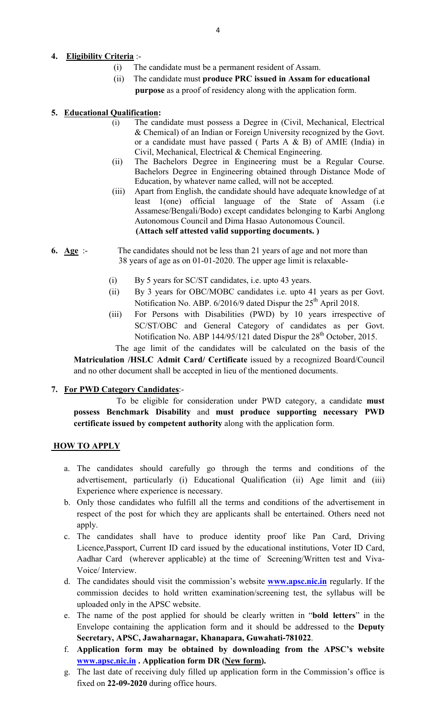# 4. Eligibility Criteria :-

- (i) The candidate must be a permanent resident of Assam.
- (ii) The candidate must produce PRC issued in Assam for educational purpose as a proof of residency along with the application form.

### 5. Educational Qualification:

- (i) The candidate must possess a Degree in (Civil, Mechanical, Electrical & Chemical) of an Indian or Foreign University recognized by the Govt. or a candidate must have passed ( Parts A & B) of AMIE (India) in Civil, Mechanical, Electrical & Chemical Engineering.
- (ii) The Bachelors Degree in Engineering must be a Regular Course. Bachelors Degree in Engineering obtained through Distance Mode of Education, by whatever name called, will not be accepted.
- (iii) Apart from English, the candidate should have adequate knowledge of at least 1(one) official language of the State of Assam (i.e Assamese/Bengali/Bodo) except candidates belonging to Karbi Anglong Autonomous Council and Dima Hasao Autonomous Council. (Attach self attested valid supporting documents. )
- 6. Age :- The candidates should not be less than 21 years of age and not more than 38 years of age as on 01-01-2020. The upper age limit is relaxable-
	- (i) By 5 years for SC/ST candidates, i.e. upto 43 years.
	- (ii) By 3 years for OBC/MOBC candidates i.e. upto 41 years as per Govt. Notification No. ABP. 6/2016/9 dated Dispur the 25<sup>th</sup> April 2018.
	- (iii) For Persons with Disabilities (PWD) by 10 years irrespective of SC/ST/OBC and General Category of candidates as per Govt. Notification No. ABP 144/95/121 dated Dispur the 28<sup>th</sup> October, 2015.

 The age limit of the candidates will be calculated on the basis of the Matriculation /HSLC Admit Card/ Certificate issued by a recognized Board/Council and no other document shall be accepted in lieu of the mentioned documents.

# 7. For PWD Category Candidates:-

 To be eligible for consideration under PWD category, a candidate must possess Benchmark Disability and must produce supporting necessary PWD certificate issued by competent authority along with the application form.

### **HOW TO APPLY**

- a. The candidates should carefully go through the terms and conditions of the advertisement, particularly (i) Educational Qualification (ii) Age limit and (iii) Experience where experience is necessary.
- b. Only those candidates who fulfill all the terms and conditions of the advertisement in respect of the post for which they are applicants shall be entertained. Others need not apply.
- c. The candidates shall have to produce identity proof like Pan Card, Driving Licence,Passport, Current ID card issued by the educational institutions, Voter ID Card, Aadhar Card (wherever applicable) at the time of Screening/Written test and Viva-Voice/ Interview.
- d. The candidates should visit the commission's website **www.apsc.nic.in** regularly. If the commission decides to hold written examination/screening test, the syllabus will be uploaded only in the APSC website.
- e. The name of the post applied for should be clearly written in "bold letters" in the Envelope containing the application form and it should be addressed to the Deputy Secretary, APSC, Jawaharnagar, Khanapara, Guwahati-781022.
- f. Application form may be obtained by downloading from the APSC's website www.apsc.nic.in . Application form DR (New form).
- g. The last date of receiving duly filled up application form in the Commission's office is fixed on 22-09-2020 during office hours.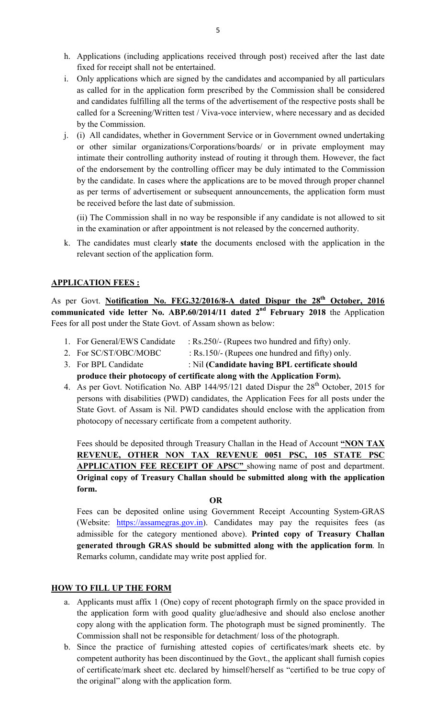- h. Applications (including applications received through post) received after the last date fixed for receipt shall not be entertained.
- i. Only applications which are signed by the candidates and accompanied by all particulars as called for in the application form prescribed by the Commission shall be considered and candidates fulfilling all the terms of the advertisement of the respective posts shall be called for a Screening/Written test / Viva-voce interview, where necessary and as decided by the Commission.
- j. (i) All candidates, whether in Government Service or in Government owned undertaking or other similar organizations/Corporations/boards/ or in private employment may intimate their controlling authority instead of routing it through them. However, the fact of the endorsement by the controlling officer may be duly intimated to the Commission by the candidate. In cases where the applications are to be moved through proper channel as per terms of advertisement or subsequent announcements, the application form must be received before the last date of submission.

(ii) The Commission shall in no way be responsible if any candidate is not allowed to sit in the examination or after appointment is not released by the concerned authority.

k. The candidates must clearly state the documents enclosed with the application in the relevant section of the application form.

### **APPLICATION FEES:**

As per Govt. Notification No. FEG.32/2016/8-A dated Dispur the 28<sup>th</sup> October, 2016 communicated vide letter No. ABP.60/2014/11 dated  $2<sup>nd</sup>$  February 2018 the Application Fees for all post under the State Govt. of Assam shown as below:

- 1. For General/EWS Candidate : Rs.250/- (Rupees two hundred and fifty) only.
- 2. For SC/ST/OBC/MOBC : Rs.150/- (Rupees one hundred and fifty) only.
- 3. For BPL Candidate : Nil (Candidate having BPL certificate should produce their photocopy of certificate along with the Application Form).
- 4. As per Govt. Notification No. ABP 144/95/121 dated Dispur the  $28<sup>th</sup>$  October, 2015 for persons with disabilities (PWD) candidates, the Application Fees for all posts under the State Govt. of Assam is Nil. PWD candidates should enclose with the application from photocopy of necessary certificate from a competent authority.

Fees should be deposited through Treasury Challan in the Head of Account "NON TAX REVENUE, OTHER NON TAX REVENUE 0051 PSC, 105 STATE PSC APPLICATION FEE RECEIPT OF APSC" showing name of post and department. Original copy of Treasury Challan should be submitted along with the application form.

#### OR

Fees can be deposited online using Government Receipt Accounting System-GRAS (Website:  $\frac{https://assamegras.gov.in)}{https://assamegras.gov.in)}$ . Candidates may pay the requisites fees (as admissible for the category mentioned above). Printed copy of Treasury Challan generated through GRAS should be submitted along with the application form. In Remarks column, candidate may write post applied for.

# HOW TO FILL UP THE FORM

- a. Applicants must affix 1 (One) copy of recent photograph firmly on the space provided in the application form with good quality glue/adhesive and should also enclose another copy along with the application form. The photograph must be signed prominently. The Commission shall not be responsible for detachment/ loss of the photograph.
- b. Since the practice of furnishing attested copies of certificates/mark sheets etc. by competent authority has been discontinued by the Govt., the applicant shall furnish copies of certificate/mark sheet etc. declared by himself/herself as "certified to be true copy of the original" along with the application form.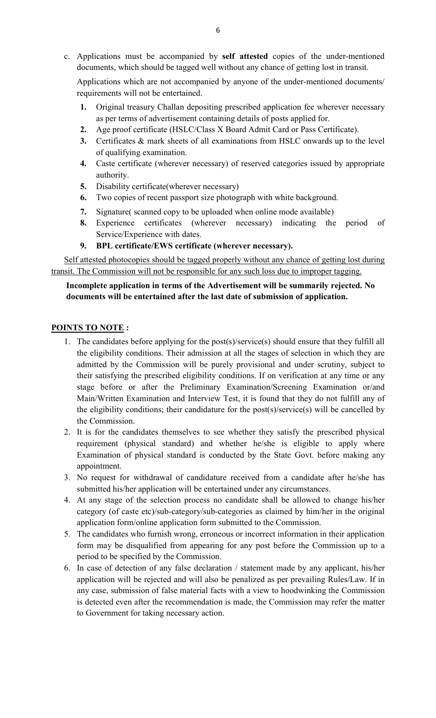c. Applications must be accompanied by self attested copies of the under-mentioned documents, which should be tagged well without any chance of getting lost in transit.

Applications which are not accompanied by anyone of the under-mentioned documents/ requirements will not be entertained.

- 1. Original treasury Challan depositing prescribed application fee wherever necessary as per terms of advertisement containing details of posts applied for.
- 2. Age proof certificate (HSLC/Class X Board Admit Card or Pass Certificate).
- 3. Certificates & mark sheets of all examinations from HSLC onwards up to the level of qualifying examination.
- 4. Caste certificate (wherever necessary) of reserved categories issued by appropriate authority.
- 5. Disability certificate(wherever necessary)
- 6. Two copies of recent passport size photograph with white background.
- 7. Signature( scanned copy to be uploaded when online mode available)
- 8. Experience certificates (wherever necessary) indicating the period of Service/Experience with dates.
- 9. BPL certificate/EWS certificate (wherever necessary).

Self attested photocopies should be tagged properly without any chance of getting lost during transit. The Commission will not be responsible for any such loss due to improper tagging.

# Incomplete application in terms of the Advertisement will be summarily rejected. No documents will be entertained after the last date of submission of application.

### POINTS TO NOTE :

- 1. The candidates before applying for the post(s)/service(s) should ensure that they fulfill all the eligibility conditions. Their admission at all the stages of selection in which they are admitted by the Commission will be purely provisional and under scrutiny, subject to their satisfying the prescribed eligibility conditions. If on verification at any time or any stage before or after the Preliminary Examination/Screening Examination or/and Main/Written Examination and Interview Test, it is found that they do not fulfill any of the eligibility conditions; their candidature for the post(s)/service(s) will be cancelled by the Commission.
- 2. It is for the candidates themselves to see whether they satisfy the prescribed physical requirement (physical standard) and whether he/she is eligible to apply where Examination of physical standard is conducted by the State Govt. before making any appointment.
- 3. No request for withdrawal of candidature received from a candidate after he/she has submitted his/her application will be entertained under any circumstances.
- 4. At any stage of the selection process no candidate shall be allowed to change his/her category (of caste etc)/sub-category/sub-categories as claimed by him/her in the original application form/online application form submitted to the Commission.
- 5. The candidates who furnish wrong, erroneous or incorrect information in their application form may be disqualified from appearing for any post before the Commission up to a period to be specified by the Commission.
- 6. In case of detection of any false declaration / statement made by any applicant, his/her application will be rejected and will also be penalized as per prevailing Rules/Law. If in any case, submission of false material facts with a view to hoodwinking the Commission is detected even after the recommendation is made, the Commission may refer the matter to Government for taking necessary action.